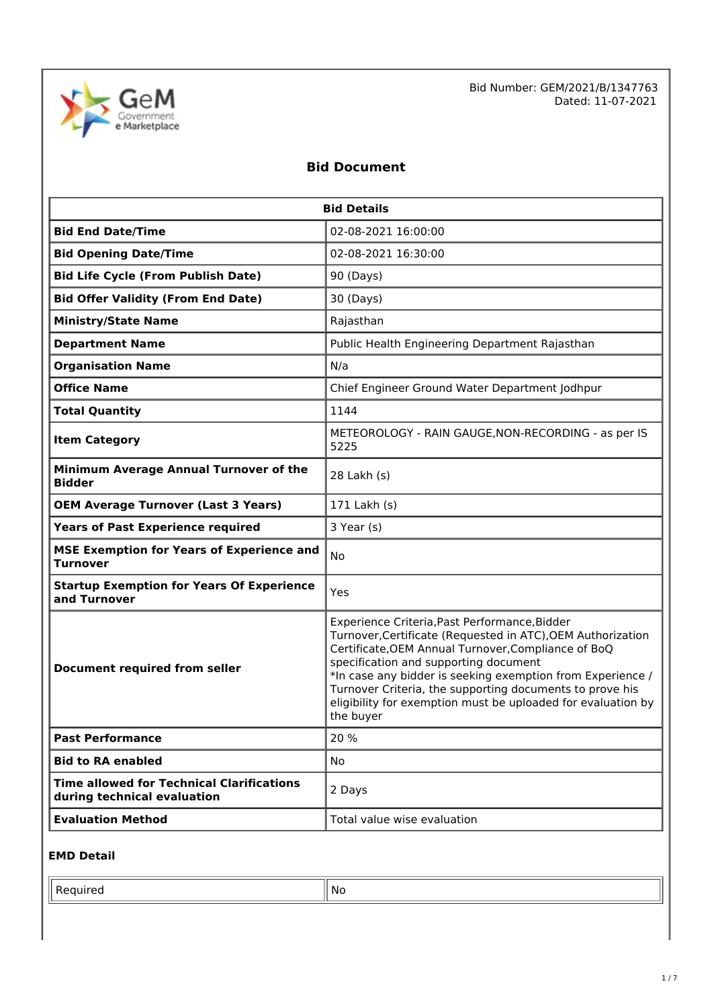

Bid Number: GEM/2021/B/1347763 Dated: 11-07-2021

## **Bid Document**

| <b>Bid Details</b>                                                              |                                                                                                                                                                                                                                                                                                                                                                                                                     |  |  |
|---------------------------------------------------------------------------------|---------------------------------------------------------------------------------------------------------------------------------------------------------------------------------------------------------------------------------------------------------------------------------------------------------------------------------------------------------------------------------------------------------------------|--|--|
| <b>Bid End Date/Time</b>                                                        | 02-08-2021 16:00:00                                                                                                                                                                                                                                                                                                                                                                                                 |  |  |
| <b>Bid Opening Date/Time</b>                                                    | 02-08-2021 16:30:00                                                                                                                                                                                                                                                                                                                                                                                                 |  |  |
| <b>Bid Life Cycle (From Publish Date)</b>                                       | 90 (Days)                                                                                                                                                                                                                                                                                                                                                                                                           |  |  |
| <b>Bid Offer Validity (From End Date)</b>                                       | 30 (Days)                                                                                                                                                                                                                                                                                                                                                                                                           |  |  |
| <b>Ministry/State Name</b>                                                      | Rajasthan                                                                                                                                                                                                                                                                                                                                                                                                           |  |  |
| <b>Department Name</b>                                                          | Public Health Engineering Department Rajasthan                                                                                                                                                                                                                                                                                                                                                                      |  |  |
| <b>Organisation Name</b>                                                        | N/a                                                                                                                                                                                                                                                                                                                                                                                                                 |  |  |
| <b>Office Name</b>                                                              | Chief Engineer Ground Water Department Jodhpur                                                                                                                                                                                                                                                                                                                                                                      |  |  |
| <b>Total Quantity</b>                                                           | 1144                                                                                                                                                                                                                                                                                                                                                                                                                |  |  |
| <b>Item Category</b>                                                            | METEOROLOGY - RAIN GAUGE, NON-RECORDING - as per IS<br>5225                                                                                                                                                                                                                                                                                                                                                         |  |  |
| Minimum Average Annual Turnover of the<br><b>Bidder</b>                         | 28 Lakh (s)                                                                                                                                                                                                                                                                                                                                                                                                         |  |  |
| <b>OEM Average Turnover (Last 3 Years)</b>                                      | 171 Lakh (s)                                                                                                                                                                                                                                                                                                                                                                                                        |  |  |
| <b>Years of Past Experience required</b>                                        | 3 Year (s)                                                                                                                                                                                                                                                                                                                                                                                                          |  |  |
| <b>MSE Exemption for Years of Experience and</b><br><b>Turnover</b>             | <b>No</b>                                                                                                                                                                                                                                                                                                                                                                                                           |  |  |
| <b>Startup Exemption for Years Of Experience</b><br>and Turnover                | Yes                                                                                                                                                                                                                                                                                                                                                                                                                 |  |  |
| <b>Document required from seller</b>                                            | Experience Criteria, Past Performance, Bidder<br>Turnover, Certificate (Requested in ATC), OEM Authorization<br>Certificate, OEM Annual Turnover, Compliance of BoQ<br>specification and supporting document<br>*In case any bidder is seeking exemption from Experience /<br>Turnover Criteria, the supporting documents to prove his<br>eligibility for exemption must be uploaded for evaluation by<br>the buyer |  |  |
| <b>Past Performance</b>                                                         | 20 %                                                                                                                                                                                                                                                                                                                                                                                                                |  |  |
| <b>Bid to RA enabled</b>                                                        | No                                                                                                                                                                                                                                                                                                                                                                                                                  |  |  |
| <b>Time allowed for Technical Clarifications</b><br>during technical evaluation | 2 Days                                                                                                                                                                                                                                                                                                                                                                                                              |  |  |
| <b>Evaluation Method</b>                                                        | Total value wise evaluation                                                                                                                                                                                                                                                                                                                                                                                         |  |  |

### **EMD Detail**

Required No. 2012 12:30 No. 2012 12:30 No. 2012 12:30 No. 2012 12:30 No. 2012 12:30 No. 2012 12:30 No. 2013 12:30 No. 2013 12:30 No. 2013 12:30 No. 2013 12:30 No. 2013 12:30 No. 2013 12:30 No. 2013 12:30 No. 2014 12:30 No.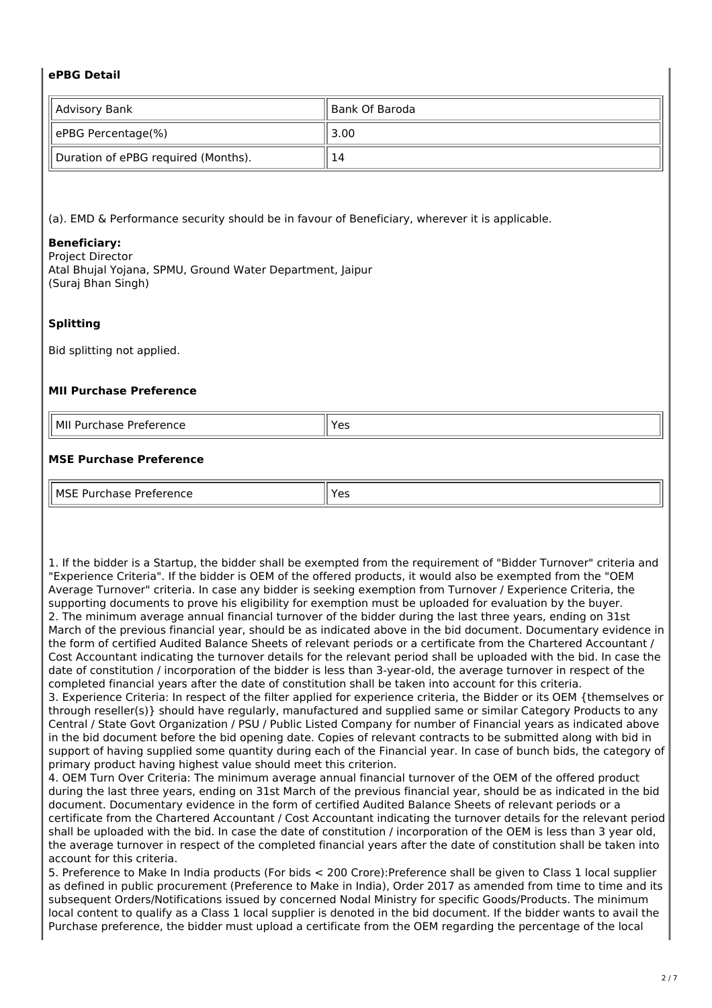### **ePBG Detail**

| Advisory Bank                       | ll Bank Of Baroda |
|-------------------------------------|-------------------|
| ePBG Percentage(%)                  | 3.00              |
| Duration of ePBG required (Months). | 14                |

(a). EMD & Performance security should be in favour of Beneficiary, wherever it is applicable.

#### **Beneficiary:**

Project Director Atal Bhujal Yojana, SPMU, Ground Water Department, Jaipur (Suraj Bhan Singh)

### **Splitting**

Bid splitting not applied.

#### **MII Purchase Preference**

| l MII<br>20 ه<br>$I$ rataranca<br>Purch<br>'د∟،<br>ence<br>۔ ت | $\sim$<br>-- |  |
|----------------------------------------------------------------|--------------|--|
| .                                                              | ັ            |  |
|                                                                | ___          |  |

### **MSE Purchase Preference**

| II MSF<br>.<br>، ۱۲ ۱۰ ۱<br>1 I I<br>э.<br>.<br>. | כ ט |
|---------------------------------------------------|-----|

1. If the bidder is a Startup, the bidder shall be exempted from the requirement of "Bidder Turnover" criteria and "Experience Criteria". If the bidder is OEM of the offered products, it would also be exempted from the "OEM Average Turnover" criteria. In case any bidder is seeking exemption from Turnover / Experience Criteria, the supporting documents to prove his eligibility for exemption must be uploaded for evaluation by the buyer. 2. The minimum average annual financial turnover of the bidder during the last three years, ending on 31st March of the previous financial year, should be as indicated above in the bid document. Documentary evidence in the form of certified Audited Balance Sheets of relevant periods or a certificate from the Chartered Accountant / Cost Accountant indicating the turnover details for the relevant period shall be uploaded with the bid. In case the date of constitution / incorporation of the bidder is less than 3-year-old, the average turnover in respect of the completed financial years after the date of constitution shall be taken into account for this criteria.

3. Experience Criteria: In respect of the filter applied for experience criteria, the Bidder or its OEM {themselves or through reseller(s)} should have regularly, manufactured and supplied same or similar Category Products to any Central / State Govt Organization / PSU / Public Listed Company for number of Financial years as indicated above in the bid document before the bid opening date. Copies of relevant contracts to be submitted along with bid in support of having supplied some quantity during each of the Financial year. In case of bunch bids, the category of primary product having highest value should meet this criterion.

4. OEM Turn Over Criteria: The minimum average annual financial turnover of the OEM of the offered product during the last three years, ending on 31st March of the previous financial year, should be as indicated in the bid document. Documentary evidence in the form of certified Audited Balance Sheets of relevant periods or a certificate from the Chartered Accountant / Cost Accountant indicating the turnover details for the relevant period shall be uploaded with the bid. In case the date of constitution / incorporation of the OEM is less than 3 year old, the average turnover in respect of the completed financial years after the date of constitution shall be taken into account for this criteria.

5. Preference to Make In India products (For bids < 200 Crore):Preference shall be given to Class 1 local supplier as defined in public procurement (Preference to Make in India), Order 2017 as amended from time to time and its subsequent Orders/Notifications issued by concerned Nodal Ministry for specific Goods/Products. The minimum local content to qualify as a Class 1 local supplier is denoted in the bid document. If the bidder wants to avail the Purchase preference, the bidder must upload a certificate from the OEM regarding the percentage of the local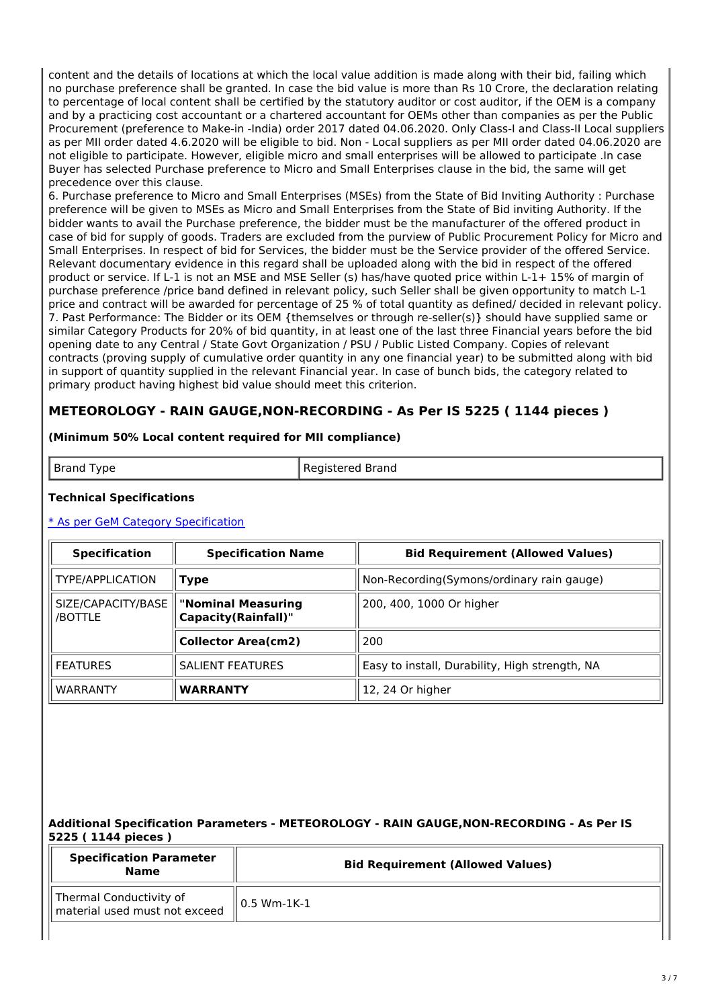content and the details of locations at which the local value addition is made along with their bid, failing which no purchase preference shall be granted. In case the bid value is more than Rs 10 Crore, the declaration relating to percentage of local content shall be certified by the statutory auditor or cost auditor, if the OEM is a company and by a practicing cost accountant or a chartered accountant for OEMs other than companies as per the Public Procurement (preference to Make-in -India) order 2017 dated 04.06.2020. Only Class-I and Class-II Local suppliers as per MII order dated 4.6.2020 will be eligible to bid. Non - Local suppliers as per MII order dated 04.06.2020 are not eligible to participate. However, eligible micro and small enterprises will be allowed to participate .In case Buyer has selected Purchase preference to Micro and Small Enterprises clause in the bid, the same will get precedence over this clause.

6. Purchase preference to Micro and Small Enterprises (MSEs) from the State of Bid Inviting Authority : Purchase preference will be given to MSEs as Micro and Small Enterprises from the State of Bid inviting Authority. If the bidder wants to avail the Purchase preference, the bidder must be the manufacturer of the offered product in case of bid for supply of goods. Traders are excluded from the purview of Public Procurement Policy for Micro and Small Enterprises. In respect of bid for Services, the bidder must be the Service provider of the offered Service. Relevant documentary evidence in this regard shall be uploaded along with the bid in respect of the offered product or service. If L-1 is not an MSE and MSE Seller (s) has/have quoted price within L-1+ 15% of margin of purchase preference /price band defined in relevant policy, such Seller shall be given opportunity to match L-1 price and contract will be awarded for percentage of 25 % of total quantity as defined/ decided in relevant policy. 7. Past Performance: The Bidder or its OEM {themselves or through re-seller(s)} should have supplied same or similar Category Products for 20% of bid quantity, in at least one of the last three Financial years before the bid opening date to any Central / State Govt Organization / PSU / Public Listed Company. Copies of relevant contracts (proving supply of cumulative order quantity in any one financial year) to be submitted along with bid in support of quantity supplied in the relevant Financial year. In case of bunch bids, the category related to primary product having highest bid value should meet this criterion.

## **METEOROLOGY - RAIN GAUGE,NON-RECORDING - As Per IS 5225 ( 1144 pieces )**

### **(Minimum 50% Local content required for MII compliance)**

Brand Type **Registered Brand** 

#### **Technical Specifications**

### \* As per GeM Category [Specification](https://bidplus.gem.gov.in/bidding/bid/showCatalogue/yEADJQTlTbK8Pl_gbOqx1-_7rAkYSIN2cXYzZQ9U2vg)

| <b>Specification</b>          | <b>Specification Name</b>                        | <b>Bid Requirement (Allowed Values)</b>        |  |
|-------------------------------|--------------------------------------------------|------------------------------------------------|--|
| TYPE/APPLICATION              | <b>Type</b>                                      | Non-Recording(Symons/ordinary rain gauge)      |  |
| SIZE/CAPACITY/BASE<br>/BOTTLE | "Nominal Measuring<br><b>Capacity(Rainfall)"</b> | 200, 400, 1000 Or higher                       |  |
|                               | <b>Collector Area(cm2)</b>                       | 200                                            |  |
| <b>FEATURES</b>               | <b>SALIENT FEATURES</b>                          | Easy to install, Durability, High strength, NA |  |
| <b>WARRANTY</b>               | <b>WARRANTY</b>                                  | 12, 24 Or higher                               |  |

### **Additional Specification Parameters - METEOROLOGY - RAIN GAUGE,NON-RECORDING - As Per IS 5225 ( 1144 pieces )**

| <b>Specification Parameter</b><br><b>Name</b>            | <b>Bid Requirement (Allowed Values)</b> |  |
|----------------------------------------------------------|-----------------------------------------|--|
| Thermal Conductivity of<br>material used must not exceed | 0.5 Wm-1K-1                             |  |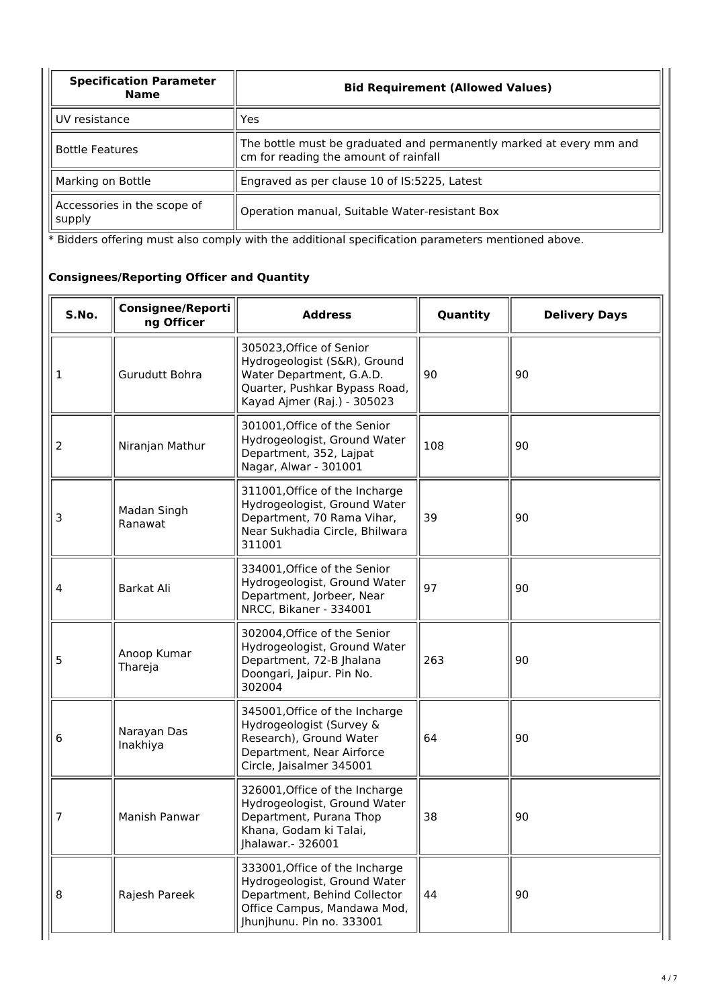| <b>Specification Parameter</b><br><b>Name</b> | <b>Bid Requirement (Allowed Values)</b>                                                                      |  |
|-----------------------------------------------|--------------------------------------------------------------------------------------------------------------|--|
| UV resistance                                 | Yes                                                                                                          |  |
| <b>Bottle Features</b>                        | The bottle must be graduated and permanently marked at every mm and<br>cm for reading the amount of rainfall |  |
| Marking on Bottle                             | Engraved as per clause 10 of IS:5225, Latest                                                                 |  |
| Accessories in the scope of<br>supply         | Operation manual, Suitable Water-resistant Box                                                               |  |

\* Bidders offering must also comply with the additional specification parameters mentioned above.

## **Consignees/Reporting Officer and Quantity**

| S.No. | <b>Consignee/Reporti</b><br>ng Officer | <b>Address</b>                                                                                                                                             | Quantity | <b>Delivery Days</b> |
|-------|----------------------------------------|------------------------------------------------------------------------------------------------------------------------------------------------------------|----------|----------------------|
| 1     | Gurudutt Bohra                         | 305023, Office of Senior<br>Hydrogeologist (S&R), Ground<br>Water Department, G.A.D.<br>Quarter, Pushkar Bypass Road,<br>Kayad Ajmer (Raj.) - 305023       | 90       | 90                   |
| 2     | Niranjan Mathur                        | 301001, Office of the Senior<br>Hydrogeologist, Ground Water<br>Department, 352, Lajpat<br>Nagar, Alwar - 301001                                           | 108      | 90                   |
| 3     | Madan Singh<br>Ranawat                 | 311001, Office of the Incharge<br>Hydrogeologist, Ground Water<br>Department, 70 Rama Vihar,<br>Near Sukhadia Circle, Bhilwara<br>311001                   | 39       | 90                   |
| 4     | <b>Barkat Ali</b>                      | 334001, Office of the Senior<br>Hydrogeologist, Ground Water<br>Department, Jorbeer, Near<br>NRCC, Bikaner - 334001                                        | 97       | 90                   |
| 5     | Anoop Kumar<br>Thareja                 | 302004, Office of the Senior<br>Hydrogeologist, Ground Water<br>Department, 72-B Jhalana<br>Doongari, Jaipur. Pin No.<br>302004                            | 263      | 90                   |
| 6     | Narayan Das<br>Inakhiya                | 345001, Office of the Incharge<br>Hydrogeologist (Survey &<br>Research), Ground Water<br>Department, Near Airforce<br>Circle, Jaisalmer 345001             | 64       | 90                   |
| 7     | Manish Panwar                          | 326001, Office of the Incharge<br>Hydrogeologist, Ground Water<br>Department, Purana Thop<br>Khana, Godam ki Talai<br>Jhalawar. - 326001                   | 38       | 90                   |
| 8     | Rajesh Pareek                          | 333001, Office of the Incharge<br>Hydrogeologist, Ground Water<br>Department, Behind Collector<br>Office Campus, Mandawa Mod,<br>Jhunjhunu. Pin no. 333001 | 44       | 90                   |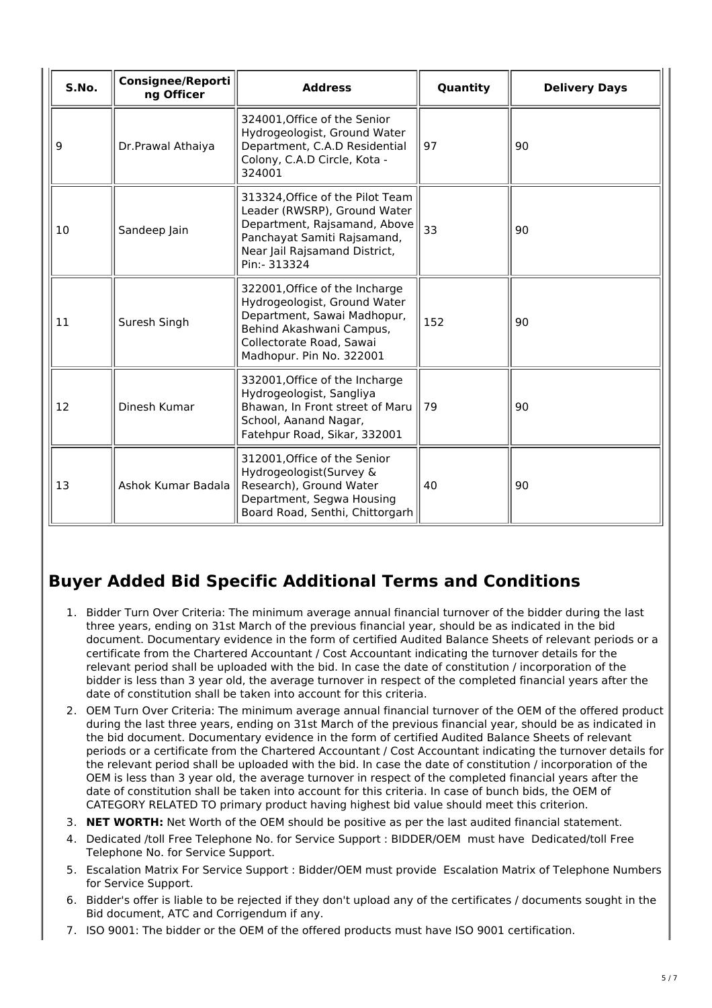| S.No. | <b>Consignee/Reporti</b><br>ng Officer | <b>Address</b>                                                                                                                                                                    | Quantity | <b>Delivery Days</b> |
|-------|----------------------------------------|-----------------------------------------------------------------------------------------------------------------------------------------------------------------------------------|----------|----------------------|
| 9     | Dr.Prawal Athaiya                      | 324001, Office of the Senior<br>Hydrogeologist, Ground Water<br>Department, C.A.D Residential<br>Colony, C.A.D Circle, Kota -<br>324001                                           | 97       | 90                   |
| 10    | Sandeep Jain                           | 313324, Office of the Pilot Team<br>Leader (RWSRP), Ground Water<br>Department, Rajsamand, Above<br>Panchayat Samiti Rajsamand,<br>Near Jail Rajsamand District,<br>Pin:- 313324  | 33       | 90                   |
| 11    | Suresh Singh                           | 322001, Office of the Incharge<br>Hydrogeologist, Ground Water<br>Department, Sawai Madhopur,<br>Behind Akashwani Campus,<br>Collectorate Road, Sawai<br>Madhopur. Pin No. 322001 | 152      | 90                   |
| 12    | Dinesh Kumar                           | 332001, Office of the Incharge<br>Hydrogeologist, Sangliya<br>Bhawan, In Front street of Maru<br>School, Aanand Nagar,<br>Fatehpur Road, Sikar, 332001                            | 79       | 90                   |
| 13    | Ashok Kumar Badala                     | 312001, Office of the Senior<br>Hydrogeologist(Survey &<br>Research), Ground Water<br>Department, Segwa Housing<br>Board Road, Senthi, Chittorgarh                                | 40       | 90                   |

# **Buyer Added Bid Specific Additional Terms and Conditions**

- 1. Bidder Turn Over Criteria: The minimum average annual financial turnover of the bidder during the last three years, ending on 31st March of the previous financial year, should be as indicated in the bid document. Documentary evidence in the form of certified Audited Balance Sheets of relevant periods or a certificate from the Chartered Accountant / Cost Accountant indicating the turnover details for the relevant period shall be uploaded with the bid. In case the date of constitution / incorporation of the bidder is less than 3 year old, the average turnover in respect of the completed financial years after the date of constitution shall be taken into account for this criteria.
- 2. OEM Turn Over Criteria: The minimum average annual financial turnover of the OEM of the offered product during the last three years, ending on 31st March of the previous financial year, should be as indicated in the bid document. Documentary evidence in the form of certified Audited Balance Sheets of relevant periods or a certificate from the Chartered Accountant / Cost Accountant indicating the turnover details for the relevant period shall be uploaded with the bid. In case the date of constitution / incorporation of the OEM is less than 3 year old, the average turnover in respect of the completed financial years after the date of constitution shall be taken into account for this criteria. In case of bunch bids, the OEM of CATEGORY RELATED TO primary product having highest bid value should meet this criterion.
- 3. **NET WORTH:** Net Worth of the OEM should be positive as per the last audited financial statement.
- 4. Dedicated /toll Free Telephone No. for Service Support : BIDDER/OEM must have Dedicated/toll Free Telephone No. for Service Support.
- 5. Escalation Matrix For Service Support : Bidder/OEM must provide Escalation Matrix of Telephone Numbers for Service Support.
- 6. Bidder's offer is liable to be rejected if they don't upload any of the certificates / documents sought in the Bid document, ATC and Corrigendum if any.
- 7. ISO 9001: The bidder or the OEM of the offered products must have ISO 9001 certification.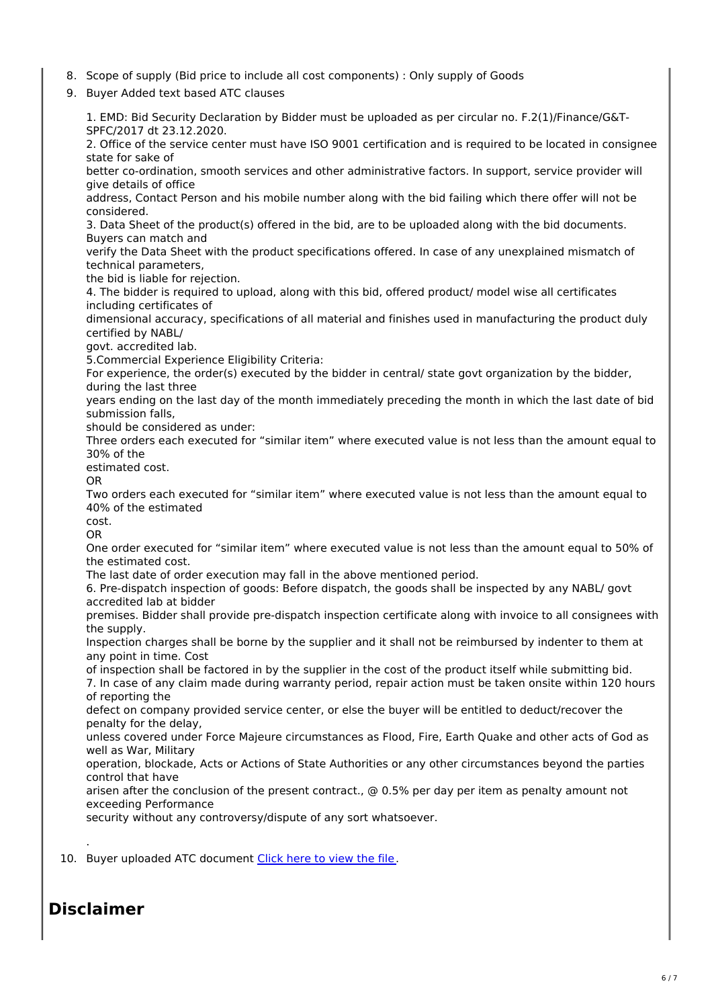- 8. Scope of supply (Bid price to include all cost components) : Only supply of Goods
- 9. Buyer Added text based ATC clauses

1. EMD: Bid Security Declaration by Bidder must be uploaded as per circular no. F.2(1)/Finance/G&T-SPFC/2017 dt 23.12.2020. 2. Office of the service center must have ISO 9001 certification and is required to be located in consignee state for sake of

better co-ordination, smooth services and other administrative factors. In support, service provider will give details of office

address, Contact Person and his mobile number along with the bid failing which there offer will not be considered.

3. Data Sheet of the product(s) offered in the bid, are to be uploaded along with the bid documents. Buyers can match and

verify the Data Sheet with the product specifications offered. In case of any unexplained mismatch of technical parameters,

the bid is liable for rejection.

4. The bidder is required to upload, along with this bid, offered product/ model wise all certificates including certificates of

dimensional accuracy, specifications of all material and finishes used in manufacturing the product duly certified by NABL/

govt. accredited lab.

5.Commercial Experience Eligibility Criteria:

For experience, the order(s) executed by the bidder in central/ state govt organization by the bidder, during the last three

years ending on the last day of the month immediately preceding the month in which the last date of bid submission falls,

should be considered as under:

Three orders each executed for "similar item" where executed value is not less than the amount equal to 30% of the

estimated cost.

OR

Two orders each executed for "similar item" where executed value is not less than the amount equal to 40% of the estimated

cost. OR

One order executed for "similar item" where executed value is not less than the amount equal to 50% of the estimated cost.

The last date of order execution may fall in the above mentioned period.

6. Pre-dispatch inspection of goods: Before dispatch, the goods shall be inspected by any NABL/ govt accredited lab at bidder

premises. Bidder shall provide pre-dispatch inspection certificate along with invoice to all consignees with the supply.

Inspection charges shall be borne by the supplier and it shall not be reimbursed by indenter to them at any point in time. Cost

of inspection shall be factored in by the supplier in the cost of the product itself while submitting bid.

7. In case of any claim made during warranty period, repair action must be taken onsite within 120 hours of reporting the

defect on company provided service center, or else the buyer will be entitled to deduct/recover the penalty for the delay,

unless covered under Force Majeure circumstances as Flood, Fire, Earth Quake and other acts of God as well as War, Military

operation, blockade, Acts or Actions of State Authorities or any other circumstances beyond the parties control that have

arisen after the conclusion of the present contract., @ 0.5% per day per item as penalty amount not exceeding Performance

security without any controversy/dispute of any sort whatsoever.

10. Buyer uploaded ATC document [Click](https://fulfilment.gem.gov.in/contract/slafds?fileDownloadPath=SLA_UPLOAD_PATH/2021/Jul/GEM_2021_B_1347763/CLM0010/Manual Rain Gauge_f8d7fe79-83a0-4d3b-939c-9095e07c9867_segwdjpr.docx) here to view the file.

# **Disclaimer**

.